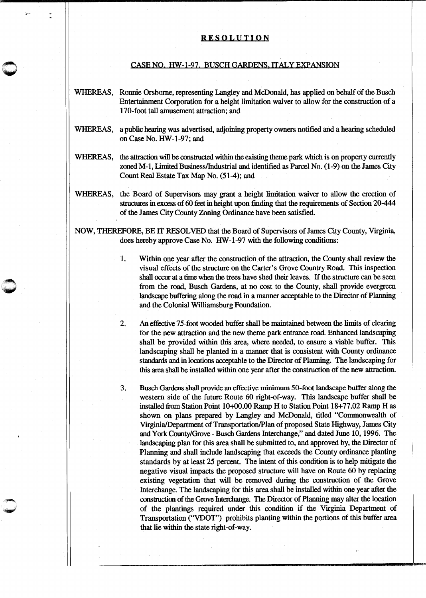## RESOLUTION

## CASE NO. HW-1-97. BUSCH GARDENS. ITALY EXPANSION

WHEREAS, Ronnie Orsbome, representing Langley and McDonald, has applied on behalf of the Busch Entertainment Corporation for a height limitation waiver to allow for the construction of a 170-foot tall amusement attraction; and

- WHEREAS, a public hearing was advertised, adjoining property owners notified and a hearing scheduled on Case No. HW-1-97; and
- WHEREAS, the attraction will be constructed within the existing theme park which is on property currently zoned M-1, Limited Business/Industrial and identified as Parcel No. (1-9) on the James City Count Real Estate Tax Map No. (51-4); and
- WHEREAS, the Board of Supervisors may grant a height limitation waiver to allow the erection of structures in excess of 60 feet in height upon fmding that the requirements of Section 20-444 of the James City County Zoning Ordinance have been satisfied.

NOW, THEREFORE, BE IT RESOLVED that the Board of Supervisors of James City County, Virginia, does hereby approve Case No. HW-1-97 with the following conditions:

 $\bigcirc$ 

1. Within one year after the construction of the attraction, the County shall review the visual effects of the structure on the Carter's Grove Country Road. This inspection shall occur at a time when the trees have shed their leaves. If the structure can be seen from the road, Busch Gardens, at no cost to the County, shall provide evergreen landscape buffering along the road in a manner acceptable to the Director of Planning and the Colonial Williamsburg Foundation.

2. An effective 75-foot wooded buffer shall be maintained between the limits of clearing for the new attraction and the new theme park entrance road. Enhanced landscaping shall be provided within this area, where needed, to ensure a viable buffer. This landscaping shall be planted in a manner that is consistent with County ordinance standards and in locations acceptable to the Director of Planning. The landscaping for this area shall be installed within one year after the construction of the new attraction.

3. Busch Gardens shall provide an effective minimum 50-foot landscape buffer along the western side of the future Route 60 right-of-way. This landscape buffer shall be installed from Station Point 10+00.00 Ramp H to Station Point 18+77.02 Ramp H as shown on plans prepared by Langley and McDonald, titled "Commonwealth of Virginia/Department of Transportation/Plan of proposed State Highway, James City and York County/Grove- Busch Gardens Interchange," and dated June 10, 1996. The landscaping plan for this area shall be submitted to, and approved by, the Director of Planning and shall include landscaping that exceeds the County ordinance planting standards by at least 25 percent. The intent of this condition is to help mitigate the negative visual impacts the proposed structure will have on Route 60 by replacing existing vegetation that will be removed during the construction of the Grove Interchange. The landscaping for this area shall be installed within one year after the construction of the Grove Interchange. The Director of Planning may alter the location of the plantings required under this condition if the Virginia Department of Transportation ("VDOT") prohibits planting within the portions of this buffer area that lie within the state right-of-way.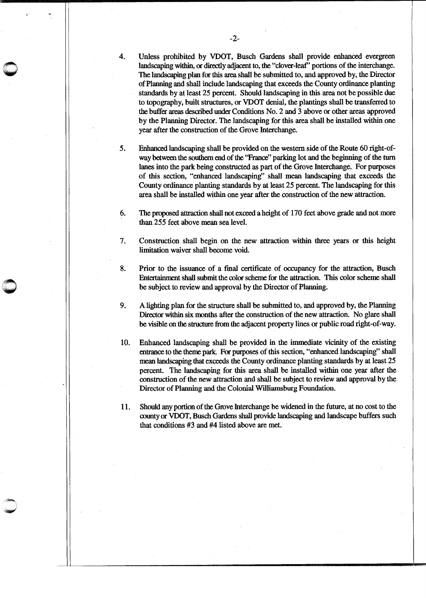4. Unless prohibited by VDOT, Busch Gardens shall provide enhanced evergreen landscaping within, or directly adjacent to, the "clover-leaf' portions of the interchange. The landscaping plan for this area shall be submitted to, and approved by, the Director of Planning and shall include landscaping that exceeds the County ordinance planting standards by at least 25 percent. Should landscaping in this area not be possible due to topography, built structures, or VDOT denial, the plantings shall be transferred to the buffer areas described under Conditions No. 2 and 3 above or other areas approved by the Planning Director. The landscaping for this area shall be installed within one year after the construction of the Grove Interchange.

5. Enhanced landscaping shall be provided on the western side of the Route 60 right-ofway between the southern end of the "France'' parking lot and the beginning of the turn lanes into the park being constructed as part of the Grove Interchange. For purposes of this section, "enhanced landscaping" shall mean landscaping that exceeds the County ordinance planting standards by at least 25 percent. The landscaping for this area shall be installed within one year after the construction of the new attraction.

6. The proposed attraction shall not exceed a height of 170 feet above grade and not more than 255 feet above mean sea level.

7. Construction shall begin on the new attraction within three years or this height limitation waiver shall become void.

8. Prior to the issuance of a final certificate of occupancy for the attraction, Busch Entertainment shall submit the color scheme for the attraction. This color scheme shall be subject to review and approval by the Director of Planning.

9. A lighting plan for the structure shall be submitted to, and approved by, the Planning Director within six months after the construction of the new attraction. No glare shall be visible on the structure from the adjacent property lines or public road right-of-way.

10. Enhanced landscaping shall be provided in the immediate vicinity of the existing entrance to the theme park For purposes of this section, "enhanced landscaping" shall mean landscaping that exceeds the County ordinance planting standards by at least 25 percent. The landscaping for this area shall be installed within one year after the construction of the new attraction and shall be subject to review and approval by the Director of Planning and the Colonial Williamsburg Foundation.

11. Should any portion of the Grove Interchange be widened in the future, at no cost to the county or VDOT, Busch Gardens shall provide landscaping and landscape buffers such that conditions #3 and #4 listed above are met.

 $\bigcirc$